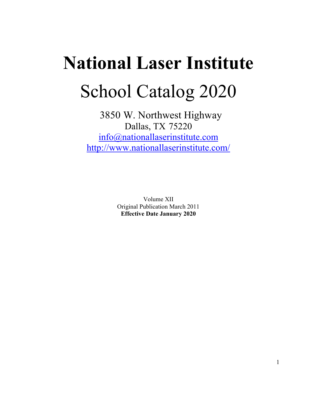# **National Laser Institute**School Catalog 2020

 3850 W. Northwest Highway Dallas, TX 75220 info@nationallaserinstitute.com http://www.nationallaserinstitute.com/

> Volume XII Original Publication March 2011 **Effective Date January 2020**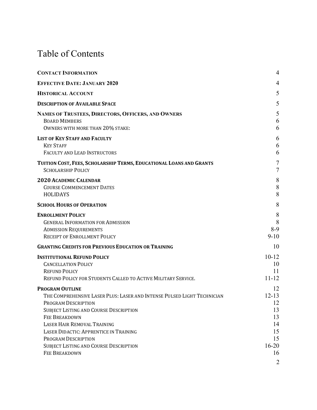## Table of Contents

| <b>CONTACT INFORMATION</b>                                                                                                                                                                                                                                                                                                                                          | $\overline{4}$                                                              |
|---------------------------------------------------------------------------------------------------------------------------------------------------------------------------------------------------------------------------------------------------------------------------------------------------------------------------------------------------------------------|-----------------------------------------------------------------------------|
| <b>EFFECTIVE DATE: JANUARY 2020</b>                                                                                                                                                                                                                                                                                                                                 | 4                                                                           |
| <b>HISTORICAL ACCOUNT</b>                                                                                                                                                                                                                                                                                                                                           | 5                                                                           |
| <b>DESCRIPTION OF AVAILABLE SPACE</b>                                                                                                                                                                                                                                                                                                                               | 5                                                                           |
| NAMES OF TRUSTEES, DIRECTORS, OFFICERS, AND OWNERS<br><b>BOARD MEMBERS</b><br>OWNERS WITH MORE THAN 20% STAKE:                                                                                                                                                                                                                                                      | 5<br>6<br>6                                                                 |
| <b>LIST OF KEY STAFF AND FACULTY</b><br><b>KEY STAFF</b><br><b>FACULTY AND LEAD INSTRUCTORS</b>                                                                                                                                                                                                                                                                     | 6<br>6<br>6                                                                 |
| TUITION COST, FEES, SCHOLARSHIP TERMS, EDUCATIONAL LOANS AND GRANTS<br><b>SCHOLARSHIP POLICY</b>                                                                                                                                                                                                                                                                    | $\tau$<br>$\overline{7}$                                                    |
| <b>2020 ACADEMIC CALENDAR</b><br><b>COURSE COMMENCEMENT DATES</b><br><b>HOLIDAYS</b>                                                                                                                                                                                                                                                                                | 8<br>8<br>8                                                                 |
| <b>SCHOOL HOURS OF OPERATION</b>                                                                                                                                                                                                                                                                                                                                    | 8                                                                           |
| <b>ENROLLMENT POLICY</b><br><b>GENERAL INFORMATION FOR ADMISSION</b><br><b>ADMISSION REQUIREMENTS</b><br>RECEIPT OF ENROLLMENT POLICY                                                                                                                                                                                                                               | 8<br>8<br>$8-9$<br>$9 - 10$                                                 |
| <b>GRANTING CREDITS FOR PREVIOUS EDUCATION OR TRAINING</b>                                                                                                                                                                                                                                                                                                          | 10                                                                          |
| <b>INSTITUTIONAL REFUND POLICY</b><br><b>CANCELLATION POLICY</b><br><b>REFUND POLICY</b><br>REFUND POLICY FOR STUDENTS CALLED TO ACTIVE MILITARY SERVICE.                                                                                                                                                                                                           | $10-12$<br>10<br>11<br>$11 - 12$                                            |
| <b>PROGRAM OUTLINE</b><br>THE COMPREHENSIVE LASER PLUS: LASER AND INTENSE PULSED LIGHT TECHNICIAN<br>PROGRAM DESCRIPTION<br><b>SUBJECT LISTING AND COURSE DESCRIPTION</b><br><b>FEE BREAKDOWN</b><br>LASER HAIR REMOVAL TRAINING<br>LASER DIDACTIC: APPRENTICE IN TRAINING<br>PROGRAM DESCRIPTION<br>SUBJECT LISTING AND COURSE DESCRIPTION<br><b>FEE BREAKDOWN</b> | 12<br>$12 - 13$<br>12<br>13<br>13<br>14<br>15<br>15<br>$16 - 20$<br>16<br>2 |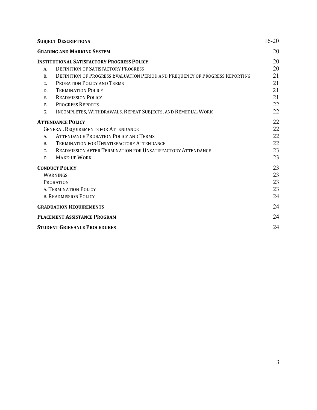|            | <b>SUBJECT DESCRIPTIONS</b>                                                  | $16-20$ |
|------------|------------------------------------------------------------------------------|---------|
|            | <b>GRADING AND MARKING SYSTEM</b>                                            | 20      |
|            | <b>INSTITUTIONAL SATISFACTORY PROGRESS POLICY</b>                            | 20      |
| A.         | <b>DEFINITION OF SATISFACTORY PROGRESS</b>                                   | 20      |
| <b>B.</b>  | DEFINITION OF PROGRESS EVALUATION PERIOD AND FREQUENCY OF PROGRESS REPORTING | 21      |
| C.         | PROBATION POLICY AND TERMS                                                   | 21      |
| D.         | <b>TERMINATION POLICY</b>                                                    | 21      |
| E.         | <b>READMISSION POLICY</b>                                                    | 21      |
| $F_{\tau}$ | <b>PROGRESS REPORTS</b>                                                      | 22      |
| G.         | INCOMPLETES, WITHDRAWALS, REPEAT SUBJECTS, AND REMEDIAL WORK                 | 22      |
|            | <b>ATTENDANCE POLICY</b>                                                     | 22      |
|            | <b>GENERAL REQUIREMENTS FOR ATTENDANCE</b>                                   | 22      |
| A.         | <b>ATTENDANCE PROBATION POLICY AND TERMS</b>                                 | 22      |
| <b>B.</b>  | <b>TERMINATION FOR UNSATISFACTORY ATTENDANCE</b>                             | 22      |
| C.         | READMISSION AFTER TERMINATION FOR UNSATISFACTORY ATTENDANCE                  | 23      |
| D.         | <b>MAKE-UP WORK</b>                                                          | 23      |
|            | <b>CONDUCT POLICY</b>                                                        | 23      |
|            | <b>WARNINGS</b>                                                              | 23      |
|            | <b>PROBATION</b>                                                             | 23      |
|            | A. TERMINATION POLICY                                                        | 23      |
|            | <b>B. READMISSION POLICY</b>                                                 | 24      |
|            | <b>GRADUATION REQUIREMENTS</b>                                               | 24      |
|            | <b>PLACEMENT ASSISTANCE PROGRAM</b>                                          | 24      |
|            | <b>STUDENT GRIEVANCE PROCEDURES</b>                                          | 24      |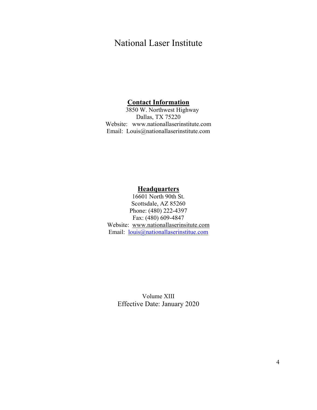### National Laser Institute

#### **Contact Information**

3850 W. Northwest Highway Dallas, TX 75220 Website: www.nationallaserinstitute.com Email: Louis@nationallaserinstitute.com

#### **Headquarters**

16601 North 90th St. Scottsdale, AZ 85260 Phone: (480) 222-4397 Fax: (480) 609-4847 Website: www.nationallaserinsitute.com Email: louis@nationallaserinstitue.com

Volume XIII Effective Date: January 2020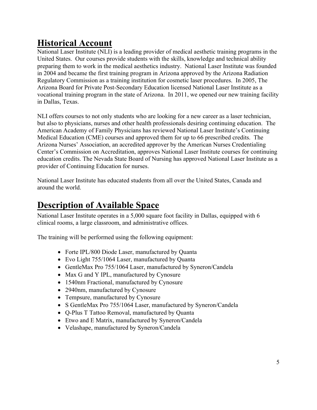### **Historical Account**

National Laser Institute (NLI) is a leading provider of medical aesthetic training programs in the United States. Our courses provide students with the skills, knowledge and technical ability preparing them to work in the medical aesthetics industry. National Laser Institute was founded in 2004 and became the first training program in Arizona approved by the Arizona Radiation Regulatory Commission as a training institution for cosmetic laser procedures. In 2005, The Arizona Board for Private Post-Secondary Education licensed National Laser Institute as a vocational training program in the state of Arizona. In 2011, we opened our new training facility in Dallas, Texas.

NLI offers courses to not only students who are looking for a new career as a laser technician, but also to physicians, nurses and other health professionals desiring continuing education. The American Academy of Family Physicians has reviewed National Laser Institute's Continuing Medical Education (CME) courses and approved them for up to 66 prescribed credits. The Arizona Nurses' Association, an accredited approver by the American Nurses Credentialing Center's Commission on Accreditation, approves National Laser Institute courses for continuing education credits. The Nevada State Board of Nursing has approved National Laser Institute as a provider of Continuing Education for nurses.

National Laser Institute has educated students from all over the United States, Canada and around the world.

### **Description of Available Space**

National Laser Institute operates in a 5,000 square foot facility in Dallas, equipped with 6 clinical rooms, a large classroom, and administrative offices.

The training will be performed using the following equipment:

- Forte IPL/800 Diode Laser, manufactured by Quanta
- Evo Light 755/1064 Laser, manufactured by Quanta
- GentleMax Pro 755/1064 Laser, manufactured by Syneron/Candela
- Max G and Y IPL, manufactured by Cynosure
- 1540nm Fractional, manufactured by Cynosure
- 2940nm, manufactured by Cynosure
- Tempsure, manufactured by Cynosure
- S GentleMax Pro 755/1064 Laser, manufactured by Syneron/Candela
- Q-Plus T Tattoo Removal, manufactured by Quanta
- Etwo and E Matrix, manufactured by Syneron/Candela
- Velashape, manufactured by Syneron/Candela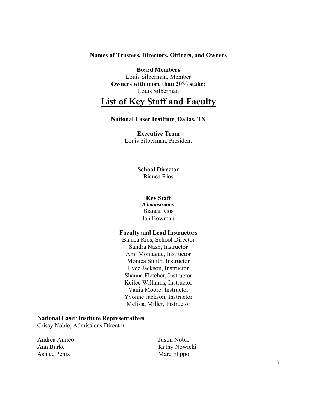#### **Names of Trustees, Directors, Officers, and Owners**

**Board Members**  Louis Silberman, Member **Owners with more than 20% stake:**  Louis Silberman

### **List of Key Staff and Faculty**

#### **National Laser Institute**, **Dallas, TX**

**Executive Team**  Louis Silberman, President

#### **School Director**

Bianca Rios

#### **Key Staff**

*Administration*  Bianca Rios Ian Bowman

#### **Faculty and Lead Instructors**

Bianca Rios, School Director Sandra Nash, Instructor Ami Montague, Instructor Monica Smith, Instructor Evee Jackson, Instructor Shanna Fletcher, Instructor Keilee Williams, Instructor Vania Moore, Instructor Yvonne Jackson, Instructor Melissa Miller, Instructor

#### **National Laser Institute Representatives**

Crissy Noble, Admissions Director

| Andrea Amico | Justin Noble  |
|--------------|---------------|
| Ann Burke    | Kathy Nowicki |
| Ashlee Penix | Marc Flippo   |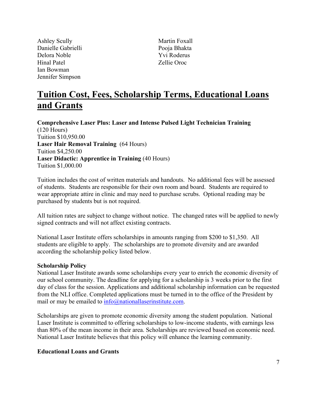Ashley Scully Danielle Gabrielli Delora Noble Hinal Patel Ian Bowman Jennifer Simpson

Martin Foxall Pooja Bhakta Yvi Roderus Zellie Oroc

### **Tuition Cost, Fees, Scholarship Terms, Educational Loans and Grants**

**Comprehensive Laser Plus: Laser and Intense Pulsed Light Technician Training** (120 Hours) Tuition \$10,950.00 **Laser Hair Removal Training** (64 Hours) Tuition \$4,250.00 **Laser Didactic: Apprentice in Training** (40 Hours) Tuition \$1,000.00

Tuition includes the cost of written materials and handouts. No additional fees will be assessed of students. Students are responsible for their own room and board. Students are required to wear appropriate attire in clinic and may need to purchase scrubs. Optional reading may be purchased by students but is not required.

All tuition rates are subject to change without notice. The changed rates will be applied to newly signed contracts and will not affect existing contracts.

National Laser Institute offers scholarships in amounts ranging from \$200 to \$1,350. All students are eligible to apply. The scholarships are to promote diversity and are awarded according the scholarship policy listed below.

#### **Scholarship Policy**

National Laser Institute awards some scholarships every year to enrich the economic diversity of our school community. The deadline for applying for a scholarship is 3 weeks prior to the first day of class for the session. Applications and additional scholarship information can be requested from the NLI office. Completed applications must be turned in to the office of the President by mail or may be emailed to  $info(\hat{\omega})$  national laser institute.com.

Scholarships are given to promote economic diversity among the student population. National Laser Institute is committed to offering scholarships to low-income students, with earnings less than 80% of the mean income in their area. Scholarships are reviewed based on economic need. National Laser Institute believes that this policy will enhance the learning community.

#### **Educational Loans and Grants**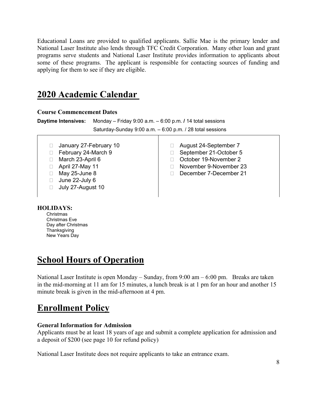Educational Loans are provided to qualified applicants. Sallie Mae is the primary lender and National Laser Institute also lends through TFC Credit Corporation. Many other loan and grant programs serve students and National Laser Institute provides information to applicants about some of these programs. The applicant is responsible for contacting sources of funding and applying for them to see if they are eligible.

### **2020 Academic Calendar**

#### **Course Commencement Dates**

| <b>Daytime Intensives:</b> Monday – Friday 9:00 a.m. $-$ 6:00 p.m. / 14 total sessions |
|----------------------------------------------------------------------------------------|
| Saturday-Sunday 9:00 a.m. $-6:00$ p.m. / 28 total sessions                             |

#### **HOLIDAYS:**

Christmas Christmas Eve Day after Christmas **Thanksgiving** New Years Day

### **School Hours of Operation**

National Laser Institute is open Monday – Sunday, from 9:00 am – 6:00 pm. Breaks are taken in the mid-morning at 11 am for 15 minutes, a lunch break is at 1 pm for an hour and another 15 minute break is given in the mid-afternoon at 4 pm.

### **Enrollment Policy**

#### **General Information for Admission**

Applicants must be at least 18 years of age and submit a complete application for admission and a deposit of \$200 (see page 10 for refund policy)

National Laser Institute does not require applicants to take an entrance exam.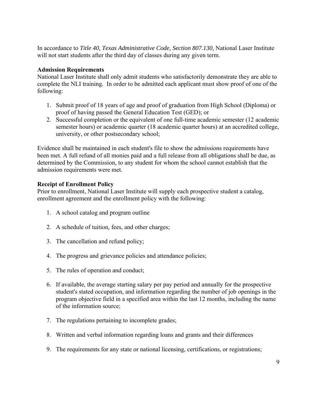In accordance to *Title 40, Texas Administrative Code, Section 807.130,* National Laser Institute will not start students after the third day of classes during any given term.

#### **Admission Requirements**

National Laser Institute shall only admit students who satisfactorily demonstrate they are able to complete the NLI training. In order to be admitted each applicant must show proof of one of the following:

- 1. Submit proof of 18 years of age and proof of graduation from High School (Diploma) or proof of having passed the General Education Test (GED); or
- 2. Successful completion or the equivalent of one full-time academic semester (12 academic semester hours) or academic quarter (18 academic quarter hours) at an accredited college, university, or other postsecondary school;

Evidence shall be maintained in each student's file to show the admissions requirements have been met. A full refund of all monies paid and a full release from all obligations shall be due, as determined by the Commission, to any student for whom the school cannot establish that the admission requirements were met.

#### **Receipt of Enrollment Policy**

Prior to enrollment, National Laser Institute will supply each prospective student a catalog, enrollment agreement and the enrollment policy with the following:

- 1. A school catalog and program outline
- 2. A schedule of tuition, fees, and other charges;
- 3. The cancellation and refund policy;
- 4. The progress and grievance policies and attendance policies;
- 5. The rules of operation and conduct;
- 6. If available, the average starting salary per pay period and annually for the prospective student's stated occupation, and information regarding the number of job openings in the program objective field in a specified area within the last 12 months, including the name of the information source;
- 7. The regulations pertaining to incomplete grades;
- 8. Written and verbal information regarding loans and grants and their differences
- 9. The requirements for any state or national licensing, certifications, or registrations;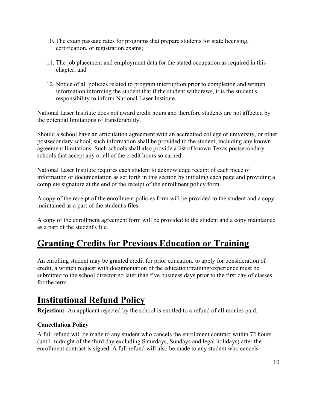- 10. The exam passage rates for programs that prepare students for state licensing, certification, or registration exams;
- 11. The job placement and employment data for the stated occupation as required in this chapter; and
- 12. Notice of all policies related to program interruption prior to completion and written information informing the student that if the student withdraws, it is the student's responsibility to inform National Laser Institute.

National Laser Institute does not award credit hours and therefore students are not affected by the potential limitations of transferability.

Should a school have an articulation agreement with an accredited college or university, or other postsecondary school, such information shall be provided to the student, including any known agreement limitations. Such schools shall also provide a list of known Texas postsecondary schools that accept any or all of the credit hours so earned.

National Laser Institute requires each student to acknowledge receipt of each piece of information or documentation as set forth in this section by initialing each page and providing a complete signature at the end of the receipt of the enrollment policy form.

A copy of the receipt of the enrollment policies form will be provided to the student and a copy maintained as a part of the student's files.

A copy of the enrollment agreement form will be provided to the student and a copy maintained as a part of the student's file.

### **Granting Credits for Previous Education or Training**

An enrolling student may be granted credit for prior education. to apply for consideration of credit, a written request with documentation of the education/training/experience must be submitted to the school director no later than five business days prior to the first day of classes for the term.

### **Institutional Refund Policy**

**Rejection:** An applicant rejected by the school is entitled to a refund of all monies paid.

#### **Cancellation Policy**

A full refund will be made to any student who cancels the enrollment contract within 72 hours (until midnight of the third day excluding Saturdays, Sundays and legal holidays) after the enrollment contract is signed. A full refund will also be made to any student who cancels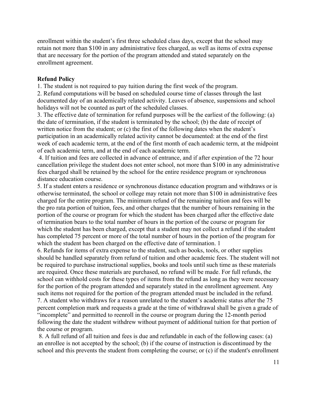enrollment within the student's first three scheduled class days, except that the school may retain not more than \$100 in any administrative fees charged, as well as items of extra expense that are necessary for the portion of the program attended and stated separately on the enrollment agreement.

#### **Refund Policy**

1. The student is not required to pay tuition during the first week of the program.

2. Refund computations will be based on scheduled course time of classes through the last documented day of an academically related activity. Leaves of absence, suspensions and school holidays will not be counted as part of the scheduled classes.

3. The effective date of termination for refund purposes will be the earliest of the following: (a) the date of termination, if the student is terminated by the school; (b) the date of receipt of written notice from the student; or (c) the first of the following dates when the student's participation in an academically related activity cannot be documented: at the end of the first week of each academic term, at the end of the first month of each academic term, at the midpoint of each academic term, and at the end of each academic term.

 4. If tuition and fees are collected in advance of entrance, and if after expiration of the 72 hour cancellation privilege the student does not enter school, not more than \$100 in any administrative fees charged shall be retained by the school for the entire residence program or synchronous distance education course.

5. If a student enters a residence or synchronous distance education program and withdraws or is otherwise terminated, the school or college may retain not more than \$100 in administrative fees charged for the entire program. The minimum refund of the remaining tuition and fees will be the pro rata portion of tuition, fees, and other charges that the number of hours remaining in the portion of the course or program for which the student has been charged after the effective date of termination bears to the total number of hours in the portion of the course or program for which the student has been charged, except that a student may not collect a refund if the student has completed 75 percent or more of the total number of hours in the portion of the program for which the student has been charged on the effective date of termination. 1

6. Refunds for items of extra expense to the student, such as books, tools, or other supplies should be handled separately from refund of tuition and other academic fees. The student will not be required to purchase instructional supplies, books and tools until such time as these materials are required. Once these materials are purchased, no refund will be made. For full refunds, the school can withhold costs for these types of items from the refund as long as they were necessary for the portion of the program attended and separately stated in the enrollment agreement. Any such items not required for the portion of the program attended must be included in the refund. 7. A student who withdraws for a reason unrelated to the student's academic status after the 75 percent completion mark and requests a grade at the time of withdrawal shall be given a grade of "incomplete" and permitted to reenroll in the course or program during the 12-month period following the date the student withdrew without payment of additional tuition for that portion of the course or program.

 8. A full refund of all tuition and fees is due and refundable in each of the following cases: (a) an enrollee is not accepted by the school; (b) if the course of instruction is discontinued by the school and this prevents the student from completing the course; or (c) if the student's enrollment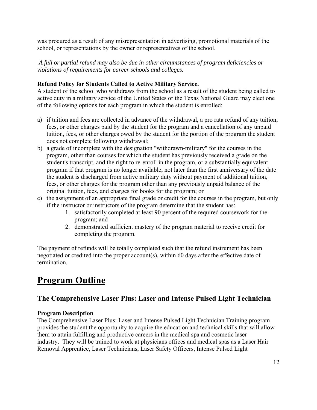was procured as a result of any misrepresentation in advertising, promotional materials of the school, or representations by the owner or representatives of the school.

 *A full or partial refund may also be due in other circumstances of program deficiencies or violations of requirements for career schools and colleges.* 

#### **Refund Policy for Students Called to Active Military Service.**

A student of the school who withdraws from the school as a result of the student being called to active duty in a military service of the United States or the Texas National Guard may elect one of the following options for each program in which the student is enrolled:

- a) if tuition and fees are collected in advance of the withdrawal, a pro rata refund of any tuition, fees, or other charges paid by the student for the program and a cancellation of any unpaid tuition, fees, or other charges owed by the student for the portion of the program the student does not complete following withdrawal;
- b) a grade of incomplete with the designation "withdrawn-military" for the courses in the program, other than courses for which the student has previously received a grade on the student's transcript, and the right to re-enroll in the program, or a substantially equivalent program if that program is no longer available, not later than the first anniversary of the date the student is discharged from active military duty without payment of additional tuition, fees, or other charges for the program other than any previously unpaid balance of the original tuition, fees, and charges for books for the program; or
- c) the assignment of an appropriate final grade or credit for the courses in the program, but only if the instructor or instructors of the program determine that the student has:
	- 1. satisfactorily completed at least 90 percent of the required coursework for the program; and
	- 2. demonstrated sufficient mastery of the program material to receive credit for completing the program.

The payment of refunds will be totally completed such that the refund instrument has been negotiated or credited into the proper account(s), within 60 days after the effective date of termination.

### **Program Outline**

### **The Comprehensive Laser Plus: Laser and Intense Pulsed Light Technician**

#### **Program Description**

The Comprehensive Laser Plus: Laser and Intense Pulsed Light Technician Training program provides the student the opportunity to acquire the education and technical skills that will allow them to attain fulfilling and productive careers in the medical spa and cosmetic laser industry. They will be trained to work at physicians offices and medical spas as a Laser Hair Removal Apprentice, Laser Technicians, Laser Safety Officers, Intense Pulsed Light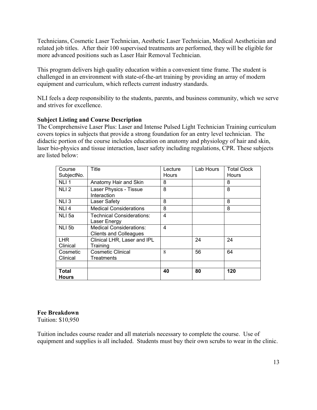Technicians, Cosmetic Laser Technician, Aesthetic Laser Technician, Medical Aesthetician and related job titles. After their 100 supervised treatments are performed, they will be eligible for more advanced positions such as Laser Hair Removal Technician.

This program delivers high quality education within a convenient time frame. The student is challenged in an environment with state-of-the-art training by providing an array of modern equipment and curriculum, which reflects current industry standards.

NLI feels a deep responsibility to the students, parents, and business community, which we serve and strives for excellence.

#### **Subject Listing and Course Description**

The Comprehensive Laser Plus: Laser and Intense Pulsed Light Technician Training curriculum covers topics in subjects that provide a strong foundation for an entry level technician. The didactic portion of the course includes education on anatomy and physiology of hair and skin, laser bio-physics and tissue interaction, laser safety including regulations, CPR. These subjects are listed below:

| Course<br>SubjectNo.  | Title                                                           | Lecture<br>Hours | Lab Hours | <b>Total Clock</b><br>Hours |
|-----------------------|-----------------------------------------------------------------|------------------|-----------|-----------------------------|
| NLI <sub>1</sub>      | Anatomy Hair and Skin                                           | 8                |           | 8                           |
| NLI <sub>2</sub>      | Laser Physics - Tissue<br>Interaction                           | 8                |           | 8                           |
| NLI 3                 | Laser Safety                                                    | 8                |           | 8                           |
| NLI <sub>4</sub>      | <b>Medical Considerations</b>                                   | 8                |           | 8                           |
| NLI 5a                | Technical Considerations:<br>Laser Energy                       | 4                |           |                             |
| NLI 5b                | <b>Medical Considerations:</b><br><b>Clients and Colleagues</b> | 4                |           |                             |
| LHR.<br>Clinical      | Clinical LHR, Laser and IPL<br>Training                         |                  | 24        | 24                          |
| Cosmetic<br>Clinical  | <b>Cosmetic Clinical</b><br>Treatments                          | 8                | 56        | 64                          |
|                       |                                                                 |                  |           |                             |
| Total<br><b>Hours</b> |                                                                 | 40               | 80        | 120                         |

#### **Fee Breakdown**

Tuition: \$10,950

Tuition includes course reader and all materials necessary to complete the course. Use of equipment and supplies is all included. Students must buy their own scrubs to wear in the clinic.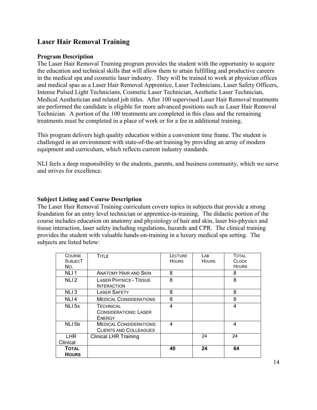#### **Laser Hair Removal Training**

#### **Program Description**

The Laser Hair Removal Training program provides the student with the opportunity to acquire the education and technical skills that will allow them to attain fulfilling and productive careers in the medical spa and cosmetic laser industry. They will be trained to work at physician offices and medical spas as a Laser Hair Removal Apprentice, Laser Technicians, Laser Safety Officers, Intense Pulsed Light Technicians, Cosmetic Laser Technician, Aesthetic Laser Technician, Medical Aesthetician and related job titles. After 100 supervised Laser Hair Removal treatments are performed the candidate is eligible for more advanced positions such as Laser Hair Removal Technician. A portion of the 100 treatments are completed in this class and the remaining treatments must be completed in a place of work or for a fee in additional training.

This program delivers high quality education within a convenient time frame. The student is challenged in an environment with state-of-the-art training by providing an array of modern equipment and curriculum, which reflects current industry standards.

NLI feels a deep responsibility to the students, parents, and business community, which we serve and strives for excellence.

#### **Subject Listing and Course Description**

The Laser Hair Removal Training curriculum covers topics in subjects that provide a strong foundation for an entry level technician or apprentice-in-training. The didactic portion of the course includes education on anatomy and physiology of hair and skin, laser bio-physics and tissue interaction, laser safety including regulations, hazards and CPR. The clinical training provides the student with valuable hands-on-training in a luxury medical spa setting. The subjects are listed below:

| <b>COURSE</b><br><b>SUBJECT</b><br>No. | <b>TITLE</b>                                                      | <b>LECTURE</b><br><b>HOURS</b> | LAB<br><b>HOURS</b> | TOTAL<br><b>CLOCK</b><br><b>HOURS</b> |
|----------------------------------------|-------------------------------------------------------------------|--------------------------------|---------------------|---------------------------------------|
| NLI <sub>1</sub>                       | <b>ANATOMY HAIR AND SKIN</b>                                      | 8                              |                     | 8                                     |
| NLI <sub>2</sub>                       | <b>LASER PHYSICS - TISSUE</b><br><b>INTERACTION</b>               | 8                              |                     | 8                                     |
| NLI <sub>3</sub>                       | <b>LASER SAFETY</b>                                               | 8                              |                     | 8                                     |
| NLI <sub>4</sub>                       | <b>MEDICAL CONSIDERATIONS</b>                                     | 8                              |                     | 8                                     |
| NLI 5A                                 | <b>TECHNICAL</b><br><b>CONSIDERATIONS: LASER</b><br><b>ENERGY</b> | 4                              |                     | 4                                     |
| NLI <sub>5B</sub>                      | <b>MEDICAL CONSIDERATIONS:</b><br><b>CLIENTS AND COLLEAGUES</b>   | 4                              |                     | 4                                     |
| <b>LHR</b><br>Clinical                 | <b>Clinical LHR Training</b>                                      |                                | 24                  | 24                                    |
| <b>TOTAL</b><br><b>HOURS</b>           |                                                                   | 40                             | 24                  | 64                                    |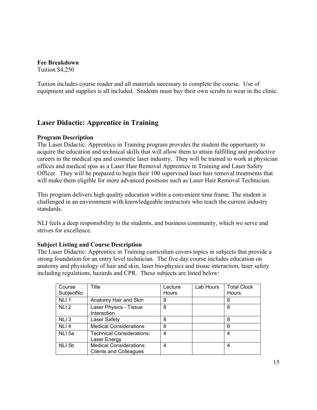**Fee Breakdown**  Tuition \$4,250

Tuition includes course reader and all materials necessary to complete the course. Use of equipment and supplies is all included. Students must buy their own scrubs to wear in the clinic.

#### **Laser Didactic: Apprentice in Training**

#### **Program Description**

The Laser Didactic: Apprentice in Training program provides the student the opportunity to acquire the education and technical skills that will allow them to attain fulfilling and productive careers in the medical spa and cosmetic laser industry. They will be trained to work at physician offices and medical spas as a Laser Hair Removal Apprentice in Training and Laser Safety Officer. They will be prepared to begin their 100 supervised laser hair removal treatments that will make them eligible for more advanced positions such as Laser Hair Removal Technician.

This program delivers high quality education within a convenient time frame. The student is challenged in an environment with knowledgeable instructors who teach the current industry standards.

NLI feels a deep responsibility to the students, and business community, which we serve and strives for excellence.

#### **Subject Listing and Course Description**

The Laser Didactic: Apprentice in Training curriculum covers topics in subjects that provide a strong foundation for an entry level technician. The five day course includes education on anatomy and physiology of hair and skin, laser bio-physics and tissue interaction, laser safety including regulations, hazards and CPR. These subjects are listed below:

| Course<br>SubjectNo. | Title                                                           | Lecture<br><b>Hours</b> | Lab Hours | <b>Total Clock</b><br>Hours |
|----------------------|-----------------------------------------------------------------|-------------------------|-----------|-----------------------------|
| NLI <sub>1</sub>     | Anatomy Hair and Skin                                           | 8                       |           | 8                           |
| NLI <sub>2</sub>     | Laser Physics - Tissue<br>Interaction                           | 8                       |           | 8                           |
| NLI <sub>3</sub>     | Laser Safety                                                    | 8                       |           | 8                           |
| NLI <sub>4</sub>     | <b>Medical Considerations</b>                                   | 8                       |           | 8                           |
| NLI <sub>5a</sub>    | Technical Considerations:<br>Laser Energy                       | 4                       |           | 4                           |
| NLI <sub>5b</sub>    | <b>Medical Considerations:</b><br><b>Clients and Colleagues</b> | 4                       |           | 4                           |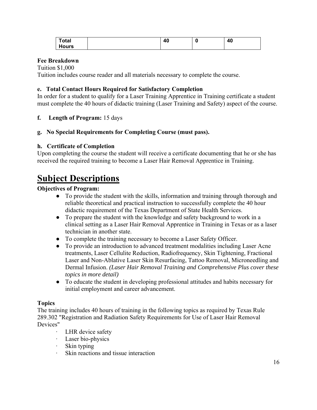| <b>Total</b>       | -- | O | 40<br>_<br>т. |
|--------------------|----|---|---------------|
| .,<br><b>.ours</b> |    |   |               |

#### **Fee Breakdown**

Tuition \$1,000

Tuition includes course reader and all materials necessary to complete the course.

#### **e. Total Contact Hours Required for Satisfactory Completion**

In order for a student to qualify for a Laser Training Apprentice in Training certificate a student must complete the 40 hours of didactic training (Laser Training and Safety) aspect of the course.

#### **f. Length of Program:** 15 days

#### **g. No Special Requirements for Completing Course (must pass).**

#### **h. Certificate of Completion**

Upon completing the course the student will receive a certificate documenting that he or she has received the required training to become a Laser Hair Removal Apprentice in Training.

### **Subject Descriptions**

#### **Objectives of Program:**

- To provide the student with the skills, information and training through thorough and reliable theoretical and practical instruction to successfully complete the 40 hour didactic requirement of the Texas Department of State Health Services.
- To prepare the student with the knowledge and safety background to work in a clinical setting as a Laser Hair Removal Apprentice in Training in Texas or as a laser technician in another state.
- To complete the training necessary to become a Laser Safety Officer.
- To provide an introduction to advanced treatment modalities including Laser Acne treatments, Laser Cellulite Reduction, Radiofrequency, Skin Tightening, Fractional Laser and Non-Ablative Laser Skin Resurfacing, Tattoo Removal, Microneedling and Dermal Infusion. *(Laser Hair Removal Training and Comprehensive Plus cover these topics in more detail)*
- To educate the student in developing professional attitudes and habits necessary for initial employment and career advancement.

#### **Topics**

The training includes 40 hours of training in the following topics as required by Texas Rule 289.302 "Registration and Radiation Safety Requirements for Use of Laser Hair Removal Devices"

- ∙ LHR device safety
- ∙ Laser bio-physics
- ∙ Skin typing
- ∙ Skin reactions and tissue interaction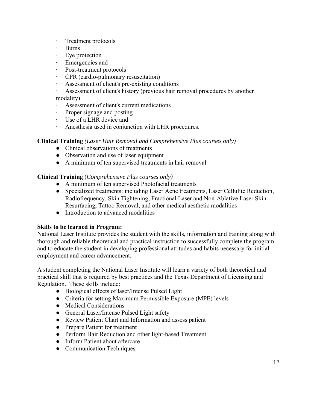- ∙ Treatment protocols
- ∙ Burns
- ∙ Eye protection
- ∙ Emergencies and
- ∙ Post-treatment protocols
- ∙ CPR (cardio-pulmonary resuscitation)
- ∙ Assessment of client's pre-existing conditions
- ∙ Assessment of client's history (previous hair removal procedures by another modality)
- ∙ Assessment of client's current medications
- ∙ Proper signage and posting
- ∙ Use of a LHR device and
- ∙ Anesthesia used in conjunction with LHR procedures.

#### **Clinical Training** *(Laser Hair Removal and Comprehensive Plus courses only)*

- Clinical observations of treatments
- Observation and use of laser equipment
- A minimum of ten supervised treatments in hair removal

#### **Clinical Training** (*Comprehensive Plus courses only)*

- A minimum of ten supervised Photofacial treatments
- Specialized treatments: including Laser Acne treatments, Laser Cellulite Reduction, Radiofrequency, Skin Tightening, Fractional Laser and Non-Ablative Laser Skin Resurfacing, Tattoo Removal, and other medical aesthetic modalities
- Introduction to advanced modalities

#### **Skills to be learned in Program:**

National Laser Institute provides the student with the skills, information and training along with thorough and reliable theoretical and practical instruction to successfully complete the program and to educate the student in developing professional attitudes and habits necessary for initial employment and career advancement.

A student completing the National Laser Institute will learn a variety of both theoretical and practical skill that is required by best practices and the Texas Department of Licensing and Regulation. These skills include:

- Biological effects of laser/Intense Pulsed Light
- Criteria for setting Maximum Permissible Exposure (MPE) levels
- Medical Considerations
- General Laser/Intense Pulsed Light safety
- Review Patient Chart and Information and assess patient
- Prepare Patient for treatment
- Perform Hair Reduction and other light-based Treatment
- Inform Patient about aftercare
- Communication Techniques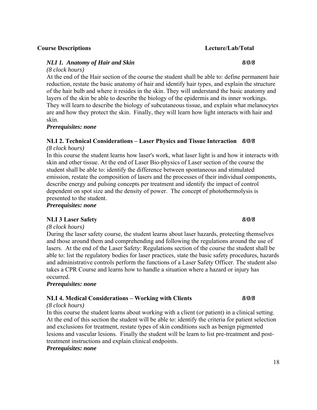#### **Course Descriptions Lecture/Lab/Total**

#### *NLI 1. Anatomy of Hair and Skin 8/0/8*

*(8 clock hours)* 

At the end of the Hair section of the course the student shall be able to: define permanent hair reduction, restate the basic anatomy of hair and identify hair types, and explain the structure of the hair bulb and where it resides in the skin. They will understand the basic anatomy and layers of the skin be able to describe the biology of the epidermis and its inner workings. They will learn to describe the biology of subcutaneous tissue, and explain what melanocytes are and how they protect the skin. Finally, they will learn how light interacts with hair and skin.

#### *Prerequisites: none*

#### **NLI 2. Technical Considerations – Laser Physics and Tissue Interaction** *8/0/8*

*(8 clock hours)*

In this course the student learns how laser's work, what laser light is and how it interacts with skin and other tissue. At the end of Laser Bio-physics of Laser section of the course the student shall be able to: identify the difference between spontaneous and stimulated emission, restate the composition of lasers and the processes of their individual components, describe energy and pulsing concepts per treatment and identify the impact of control dependent on spot size and the density of power. The concept of photothermolysis is presented to the student.

*Prerequisites: none* 

#### **NLI 3 Laser Safety** *8/0/8*

*(8 clock hours)*

During the laser safety course, the student learns about laser hazards, protecting themselves and those around them and comprehending and following the regulations around the use of lasers. At the end of the Laser Safety: Regulations section of the course the student shall be able to: list the regulatory bodies for laser practices, state the basic safety procedures, hazards and administrative controls perform the functions of a Laser Safety Officer. The student also takes a CPR Course and learns how to handle a situation where a hazard or injury has occurred.

#### *Prerequisites: none*

#### **NLI 4. Medical Considerations – Working with Clients** *8/0/8*

#### *(8 clock hours)*

In this course the student learns about working with a client (or patient) in a clinical setting. At the end of this section the student will be able to: identify the criteria for patient selection and exclusions for treatment, restate types of skin conditions such as benign pigmented lesions and vascular lesions. Finally the student will be learn to list pre-treatment and posttreatment instructions and explain clinical endpoints.

#### *Prerequisites: none*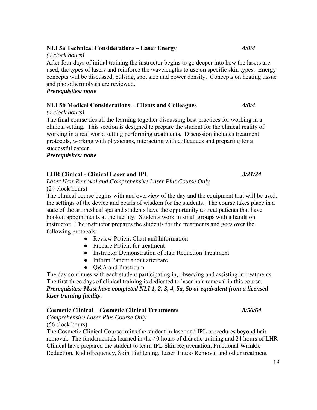#### **NLI 5a Technical Considerations – Laser Energy** *4/0/4*

#### *(4 clock hours)*

After four days of initial training the instructor begins to go deeper into how the lasers are used, the types of lasers and reinforce the wavelengths to use on specific skin types. Energy concepts will be discussed, pulsing, spot size and power density. Concepts on heating tissue and photothermolysis are reviewed.

*Prerequisites: none* 

#### **NLI 5b Medical Considerations – Clients and Colleagues** *4/0/4*

#### *(4 clock hours)*

The final course ties all the learning together discussing best practices for working in a clinical setting. This section is designed to prepare the student for the clinical reality of working in a real world setting performing treatments. Discussion includes treatment protocols, working with physicians, interacting with colleagues and preparing for a successful career.

*Prerequisites: none* 

#### **LHR Clinical - Clinical Laser and IPL** *3/21/24*

*Laser Hair Removal and Comprehensive Laser Plus Course Only*  (24 clock hours)

The clinical course begins with and overview of the day and the equipment that will be used, the settings of the device and pearls of wisdom for the students. The course takes place in a state of the art medical spa and students have the opportunity to treat patients that have booked appointments at the facility. Students work in small groups with a hands on instructor. The instructor prepares the students for the treatments and goes over the following protocols:

- Review Patient Chart and Information
- Prepare Patient for treatment
- Instructor Demonstration of Hair Reduction Treatment
- Inform Patient about aftercare
- Q&A and Practicum

The day continues with each student participating in, observing and assisting in treatments. The first three days of clinical training is dedicated to laser hair removal in this course. *Prerequisites: Must have completed NLI 1, 2, 3, 4, 5a, 5b or equivalent from a licensed laser training facility.* 

#### **Cosmetic Clinical – Cosmetic Clinical Treatments** *8/56/64*

*Comprehensive Laser Plus Course Only* 

(56 clock hours)

The Cosmetic Clinical Course trains the student in laser and IPL procedures beyond hair removal. The fundamentals learned in the 40 hours of didactic training and 24 hours of LHR Clinical have prepared the student to learn IPL Skin Rejuvenation, Fractional Wrinkle Reduction, Radiofrequency, Skin Tightening, Laser Tattoo Removal and other treatment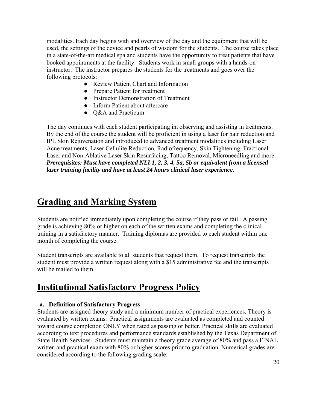modalities. Each day begins with and overview of the day and the equipment that will be used, the settings of the device and pearls of wisdom for the students. The course takes place in a state-of-the-art medical spa and students have the opportunity to treat patients that have booked appointments at the facility. Students work in small groups with a hands-on instructor. The instructor prepares the students for the treatments and goes over the following protocols:

- Review Patient Chart and Information
- Prepare Patient for treatment
- Instructor Demonstration of Treatment
- Inform Patient about aftercare
- Q&A and Practicum

The day continues with each student participating in, observing and assisting in treatments. By the end of the course the student will be proficient in using a laser for hair reduction and IPL Skin Rejuvenation and introduced to advanced treatment modalities including Laser Acne treatments, Laser Cellulite Reduction, Radiofrequency, Skin Tightening, Fractional Laser and Non-Ablative Laser Skin Resurfacing, Tattoo Removal, Microneedling and more. *Prerequisites: Must have completed NLI 1, 2, 3, 4, 5a, 5b or equivalent from a licensed laser training facility and have at least 24 hours clinical laser experience.* 

### **Grading and Marking System**

Students are notified immediately upon completing the course if they pass or fail. A passing grade is achieving 80% or higher on each of the written exams and completing the clinical training in a satisfactory manner. Training diplomas are provided to each student within one month of completing the course.

Student transcripts are available to all students that request them. To request transcripts the student must provide a written request along with a \$15 administrative fee and the transcripts will be mailed to them.

### **Institutional Satisfactory Progress Policy**

#### **a. Definition of Satisfactory Progress**

Students are assigned theory study and a minimum number of practical experiences. Theory is evaluated by written exams. Practical assignments are evaluated as completed and counted toward course completion ONLY when rated as passing or better. Practical skills are evaluated according to text procedures and performance standards established by the Texas Department of State Health Services. Students must maintain a theory grade average of 80% and pass a FINAL written and practical exam with 80% or higher scores prior to graduation. Numerical grades are considered according to the following grading scale: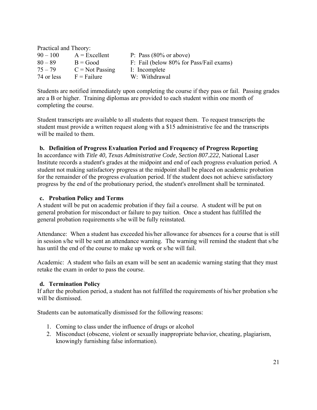| Practical and Theory: |                       |                                         |  |  |
|-----------------------|-----------------------|-----------------------------------------|--|--|
| $90 - 100$            | $A = Excellent$       | P: Pass $(80\% \text{ or above})$       |  |  |
| $80 - 89$             | $B = Good$            | F: Fail (below 80% for Pass/Fail exams) |  |  |
| $75 - 79$             | $C = Not Passing$     | I: Incomplete                           |  |  |
| 74 or less            | $F = F \text{ailure}$ | W: Withdrawal                           |  |  |

Students are notified immediately upon completing the course if they pass or fail. Passing grades are a B or higher. Training diplomas are provided to each student within one month of completing the course.

Student transcripts are available to all students that request them. To request transcripts the student must provide a written request along with a \$15 administrative fee and the transcripts will be mailed to them.

#### **b. Definition of Progress Evaluation Period and Frequency of Progress Reporting**

In accordance with *Title 40, Texas Administrative Code, Section 807.222*, National Laser Institute records a student's grades at the midpoint and end of each progress evaluation period. A student not making satisfactory progress at the midpoint shall be placed on academic probation for the remainder of the progress evaluation period. If the student does not achieve satisfactory progress by the end of the probationary period, the student's enrollment shall be terminated.

#### **c. Probation Policy and Terms**

A student will be put on academic probation if they fail a course. A student will be put on general probation for misconduct or failure to pay tuition. Once a student has fulfilled the general probation requirements s/he will be fully reinstated.

Attendance: When a student has exceeded his/her allowance for absences for a course that is still in session s/he will be sent an attendance warning. The warning will remind the student that s/he has until the end of the course to make up work or s/he will fail.

Academic: A student who fails an exam will be sent an academic warning stating that they must retake the exam in order to pass the course.

#### **d. Termination Policy**

If after the probation period, a student has not fulfilled the requirements of his/her probation s/he will be dismissed.

Students can be automatically dismissed for the following reasons:

- 1. Coming to class under the influence of drugs or alcohol
- 2. Misconduct (obscene, violent or sexually inappropriate behavior, cheating, plagiarism, knowingly furnishing false information).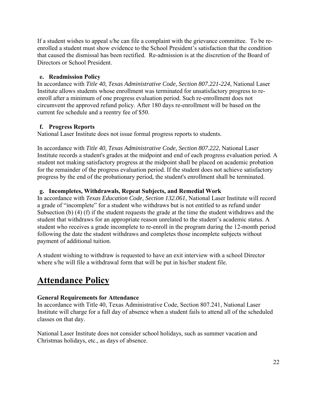If a student wishes to appeal s/he can file a complaint with the grievance committee. To be reenrolled a student must show evidence to the School President's satisfaction that the condition that caused the dismissal has been rectified. Re-admission is at the discretion of the Board of Directors or School President.

#### **e. Readmission Policy**

In accordance with *Title 40, Texas Administrative Code, Section 807.221-224*, National Laser Institute allows students whose enrollment was terminated for unsatisfactory progress to reenroll after a minimum of one progress evaluation period. Such re-enrollment does not circumvent the approved refund policy. After 180 days re-enrollment will be based on the current fee schedule and a reentry fee of \$50.

#### **f. Progress Reports**

National Laser Institute does not issue formal progress reports to students.

In accordance with *Title 40, Texas Administrative Code, Section 807.222*, National Laser Institute records a student's grades at the midpoint and end of each progress evaluation period. A student not making satisfactory progress at the midpoint shall be placed on academic probation for the remainder of the progress evaluation period. If the student does not achieve satisfactory progress by the end of the probationary period, the student's enrollment shall be terminated.

#### **g. Incompletes, Withdrawals, Repeat Subjects, and Remedial Work**

In accordance with *Texas Education Code, Section 132.061*, National Laser Institute will record a grade of "incomplete" for a student who withdraws but is not entitled to as refund under Subsection (b) (4) (f) if the student requests the grade at the time the student withdraws and the student that withdraws for an appropriate reason unrelated to the student's academic status. A student who receives a grade incomplete to re-enroll in the program during the 12-month period following the date the student withdraws and completes those incomplete subjects without payment of additional tuition.

A student wishing to withdraw is requested to have an exit interview with a school Director where s/he will file a withdrawal form that will be put in his/her student file.

### **Attendance Policy**

#### **General Requirements for Attendance**

In accordance with Title 40, Texas Administrative Code, Section 807.241, National Laser Institute will charge for a full day of absence when a student fails to attend all of the scheduled classes on that day.

National Laser Institute does not consider school holidays, such as summer vacation and Christmas holidays, etc., as days of absence.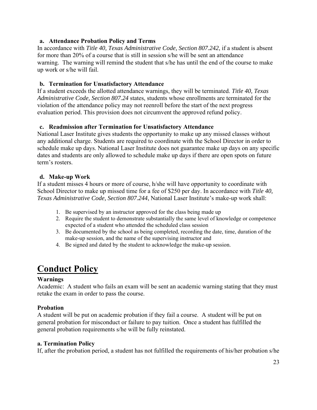#### **a. Attendance Probation Policy and Terms**

In accordance with *Title 40, Texas Administrative Code, Section 807.242*, if a student is absent for more than 20% of a course that is still in session s/he will be sent an attendance warning. The warning will remind the student that s/he has until the end of the course to make up work or s/he will fail.

#### **b. Termination for Unsatisfactory Attendance**

If a student exceeds the allotted attendance warnings, they will be terminated. *Title 40, Texas Administrative Code, Section 807.24* states, students whose enrollments are terminated for the violation of the attendance policy may not reenroll before the start of the next progress evaluation period. This provision does not circumvent the approved refund policy.

#### **c. Readmission after Termination for Unsatisfactory Attendance**

National Laser Institute gives students the opportunity to make up any missed classes without any additional charge. Students are required to coordinate with the School Director in order to schedule make up days. National Laser Institute does not guarantee make up days on any specific dates and students are only allowed to schedule make up days if there are open spots on future term's rosters.

#### **d. Make-up Work**

If a student misses 4 hours or more of course, h/she will have opportunity to coordinate with School Director to make up missed time for a fee of \$250 per day. In accordance with *Title 40, Texas Administrative Code, Section 807.244*, National Laser Institute's make-up work shall:

- 1. Be supervised by an instructor approved for the class being made up
- 2. Require the student to demonstrate substantially the same level of knowledge or competence expected of a student who attended the scheduled class session
- 3. Be documented by the school as being completed, recording the date, time, duration of the make-up session, and the name of the supervising instructor and
- 4. Be signed and dated by the student to acknowledge the make-up session.

### **Conduct Policy**

#### **Warnings**

Academic: A student who fails an exam will be sent an academic warning stating that they must retake the exam in order to pass the course.

#### **Probation**

A student will be put on academic probation if they fail a course. A student will be put on general probation for misconduct or failure to pay tuition. Once a student has fulfilled the general probation requirements s/he will be fully reinstated.

#### **a. Termination Policy**

If, after the probation period, a student has not fulfilled the requirements of his/her probation s/he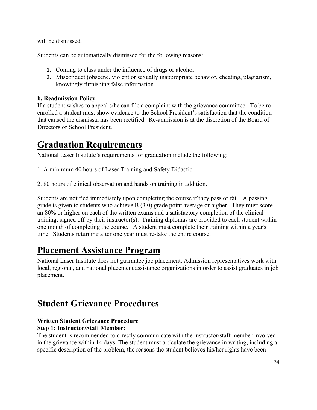will be dismissed.

Students can be automatically dismissed for the following reasons:

- 1. Coming to class under the influence of drugs or alcohol
- 2. Misconduct (obscene, violent or sexually inappropriate behavior, cheating, plagiarism, knowingly furnishing false information

#### **b. Readmission Policy**

If a student wishes to appeal s/he can file a complaint with the grievance committee. To be reenrolled a student must show evidence to the School President's satisfaction that the condition that caused the dismissal has been rectified. Re-admission is at the discretion of the Board of Directors or School President.

### **Graduation Requirements**

National Laser Institute's requirements for graduation include the following:

- 1. A minimum 40 hours of Laser Training and Safety Didactic
- 2. 80 hours of clinical observation and hands on training in addition.

Students are notified immediately upon completing the course if they pass or fail. A passing grade is given to students who achieve  $B(3.0)$  grade point average or higher. They must score an 80% or higher on each of the written exams and a satisfactory completion of the clinical training, signed off by their instructor(s). Training diplomas are provided to each student within one month of completing the course. A student must complete their training within a year's time. Students returning after one year must re-take the entire course.

### **Placement Assistance Program**

National Laser Institute does not guarantee job placement. Admission representatives work with local, regional, and national placement assistance organizations in order to assist graduates in job placement.

### **Student Grievance Procedures**

#### **Written Student Grievance Procedure Step 1: Instructor/Staff Member:**

The student is recommended to directly communicate with the instructor/staff member involved in the grievance within 14 days. The student must articulate the grievance in writing, including a specific description of the problem, the reasons the student believes his/her rights have been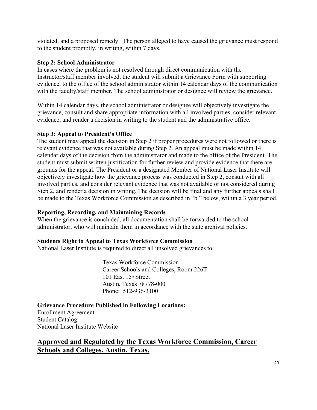violated, and a proposed remedy. The person alleged to have caused the grievance must respond to the student promptly, in writing, within 7 days.

#### **Step 2: School Administrator**

In cases where the problem is not resolved through direct communication with the Instructor/staff member involved, the student will submit a Grievance Form with supporting evidence, to the office of the school administrator within 14 calendar days of the communication with the faculty/staff member. The school administrator or designee will review the grievance.

Within 14 calendar days, the school administrator or designee will objectively investigate the grievance, consult and share appropriate information with all involved parties, consider relevant evidence, and render a decision in writing to the student and the administrative office.

#### **Step 3: Appeal to President's Office**

The student may appeal the decision in Step 2 if proper procedures were not followed or there is relevant evidence that was not available during Step 2. An appeal must be made within 14 calendar days of the decision from the administrator and made to the office of the President. The student must submit written justification for further review and provide evidence that there are grounds for the appeal. The President or a designated Member of National Laser Institute will objectively investigate how the grievance process was conducted in Step 2, consult with all involved parties, and consider relevant evidence that was not available or not considered during Step 2, and render a decision in writing. The decision will be final and any further appeals shall be made to the Texas Workforce Commission as described in "b." below, within a 3 year period.

#### **Reporting, Recording, and Maintaining Records**

When the grievance is concluded, all documentation shall be forwarded to the school administrator, who will maintain them in accordance with the state archival policies.

#### **Students Right to Appeal to Texas Workforce Commission**

National Laser Institute is required to direct all unsolved grievances to:

 Texas Workforce Commission Career Schools and Colleges, Room 226T  $101$  East  $15<sup>th</sup>$  Street Austin, Texas 78778-0001 Phone: 512-936-3100

**Grievance Procedure Published in Following Locations:**

Enrollment Agreement Student Catalog National Laser Institute Website

#### **Approved and Regulated by the Texas Workforce Commission, Career Schools and Colleges, Austin, Texas.**